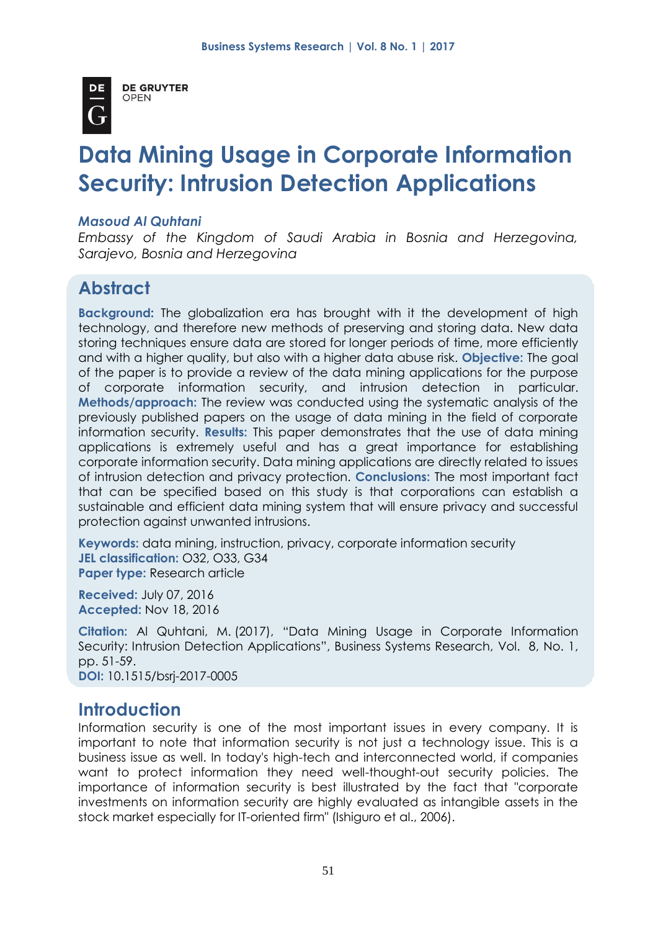

**DE GRUYTER OPEN** 

# **Data Mining Usage in Corporate Information Security: Intrusion Detection Applications**

#### *Masoud Al Quhtani*

*Embassy of the Kingdom of Saudi Arabia in Bosnia and Herzegovina, Sarajevo, Bosnia and Herzegovina*

# **Abstract**

**Background:** The globalization era has brought with it the development of high technology, and therefore new methods of preserving and storing data. New data storing techniques ensure data are stored for longer periods of time, more efficiently and with a higher quality, but also with a higher data abuse risk. **Objective:** The goal of the paper is to provide a review of the data mining applications for the purpose of corporate information security, and intrusion detection in particular. **Methods/approach:** The review was conducted using the systematic analysis of the previously published papers on the usage of data mining in the field of corporate information security. **Results:** This paper demonstrates that the use of data mining applications is extremely useful and has a great importance for establishing corporate information security. Data mining applications are directly related to issues of intrusion detection and privacy protection. **Conclusions:** The most important fact that can be specified based on this study is that corporations can establish a sustainable and efficient data mining system that will ensure privacy and successful protection against unwanted intrusions.

**Keywords:** data mining, instruction, privacy, corporate information security **JEL classification:** O32, O33, G34 **Paper type:** Research article

**Received:** July 07, 2016 **Accepted:** Nov 18, 2016

**Citation:** Al Quhtani, M. (2017), "Data Mining Usage in Corporate Information Security: Intrusion Detection Applications", Business Systems Research, Vol. 8, No. 1, pp. 51-59.

**DOI:** 10.1515/bsrj-2017-0005

# **Introduction**

Information security is one of the most important issues in every company. It is important to note that information security is not just a technology issue. This is a business issue as well. In today's high-tech and interconnected world, if companies want to protect information they need well-thought-out security policies. The importance of information security is best illustrated by the fact that "corporate investments on information security are highly evaluated as intangible assets in the stock market especially for IT-oriented firm" (Ishiguro et al., 2006).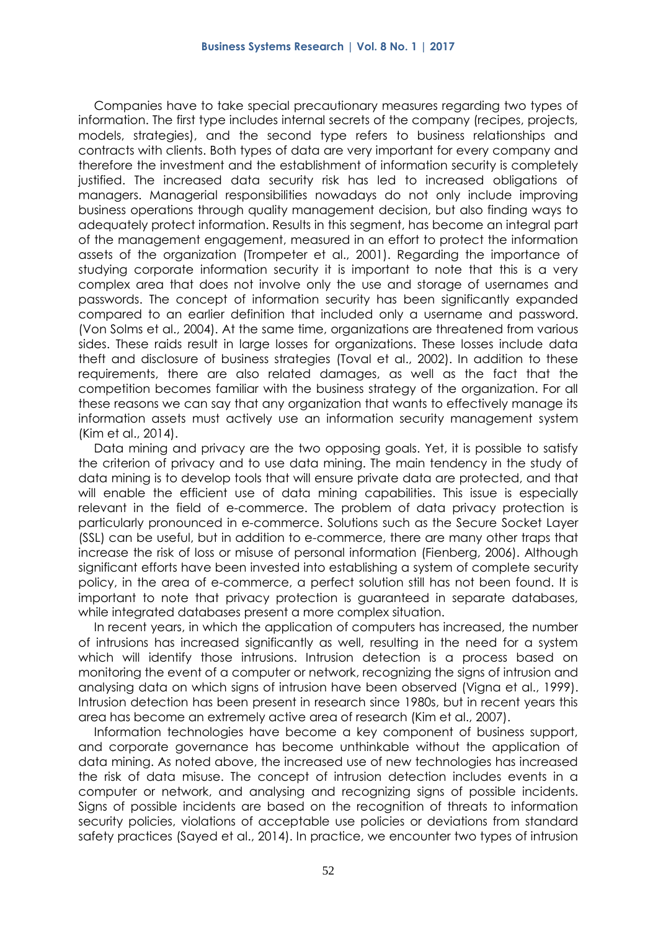Companies have to take special precautionary measures regarding two types of information. The first type includes internal secrets of the company (recipes, projects, models, strategies), and the second type refers to business relationships and contracts with clients. Both types of data are very important for every company and therefore the investment and the establishment of information security is completely justified. The increased data security risk has led to increased obligations of managers. Managerial responsibilities nowadays do not only include improving business operations through quality management decision, but also finding ways to adequately protect information. Results in this segment, has become an integral part of the management engagement, measured in an effort to protect the information assets of the organization (Trompeter et al., 2001). Regarding the importance of studying corporate information security it is important to note that this is a very complex area that does not involve only the use and storage of usernames and passwords. The concept of information security has been significantly expanded compared to an earlier definition that included only a username and password. (Von Solms et al., 2004). At the same time, organizations are threatened from various sides. These raids result in large losses for organizations. These losses include data theft and disclosure of business strategies (Toval et al., 2002). In addition to these requirements, there are also related damages, as well as the fact that the competition becomes familiar with the business strategy of the organization. For all these reasons we can say that any organization that wants to effectively manage its information assets must actively use an information security management system (Kim et al., 2014).

Data mining and privacy are the two opposing goals. Yet, it is possible to satisfy the criterion of privacy and to use data mining. The main tendency in the study of data mining is to develop tools that will ensure private data are protected, and that will enable the efficient use of data mining capabilities. This issue is especially relevant in the field of e-commerce. The problem of data privacy protection is particularly pronounced in e-commerce. Solutions such as the Secure Socket Layer (SSL) can be useful, but in addition to e-commerce, there are many other traps that increase the risk of loss or misuse of personal information (Fienberg, 2006). Although significant efforts have been invested into establishing a system of complete security policy, in the area of e-commerce, a perfect solution still has not been found. It is important to note that privacy protection is guaranteed in separate databases, while integrated databases present a more complex situation.

In recent years, in which the application of computers has increased, the number of intrusions has increased significantly as well, resulting in the need for a system which will identify those intrusions. Intrusion detection is a process based on monitoring the event of a computer or network, recognizing the signs of intrusion and analysing data on which signs of intrusion have been observed (Vigna et al., 1999). Intrusion detection has been present in research since 1980s, but in recent years this area has become an extremely active area of research (Kim et al., 2007).

Information technologies have become a key component of business support, and corporate governance has become unthinkable without the application of data mining. As noted above, the increased use of new technologies has increased the risk of data misuse. The concept of intrusion detection includes events in a computer or network, and analysing and recognizing signs of possible incidents. Signs of possible incidents are based on the recognition of threats to information security policies, violations of acceptable use policies or deviations from standard safety practices (Sayed et al., 2014). In practice, we encounter two types of intrusion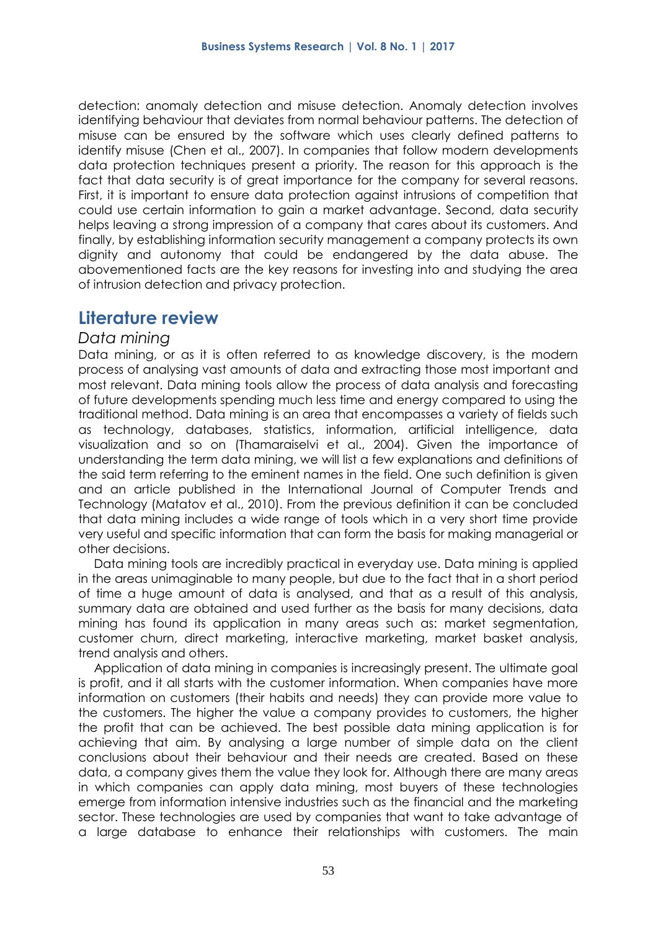detection: anomaly detection and misuse detection. Anomaly detection involves identifying behaviour that deviates from normal behaviour patterns. The detection of misuse can be ensured by the software which uses clearly defined patterns to identify misuse (Chen et al., 2007). In companies that follow modern developments data protection techniques present a priority. The reason for this approach is the fact that data security is of great importance for the company for several reasons. First, it is important to ensure data protection against intrusions of competition that could use certain information to gain a market advantage. Second, data security helps leaving a strong impression of a company that cares about its customers. And finally, by establishing information security management a company protects its own dignity and autonomy that could be endangered by the data abuse. The abovementioned facts are the key reasons for investing into and studying the area of intrusion detection and privacy protection.

### **Literature review**

#### *Data mining*

Data mining, or as it is often referred to as knowledge discovery, is the modern process of analysing vast amounts of data and extracting those most important and most relevant. Data mining tools allow the process of data analysis and forecasting of future developments spending much less time and energy compared to using the traditional method. Data mining is an area that encompasses a variety of fields such as technology, databases, statistics, information, artificial intelligence, data visualization and so on (Thamaraiselvi et al., 2004). Given the importance of understanding the term data mining, we will list a few explanations and definitions of the said term referring to the eminent names in the field. One such definition is given and an article published in the International Journal of Computer Trends and Technology (Matatov et al., 2010). From the previous definition it can be concluded that data mining includes a wide range of tools which in a very short time provide very useful and specific information that can form the basis for making managerial or other decisions.

Data mining tools are incredibly practical in everyday use. Data mining is applied in the areas unimaginable to many people, but due to the fact that in a short period of time a huge amount of data is analysed, and that as a result of this analysis, summary data are obtained and used further as the basis for many decisions, data mining has found its application in many areas such as: market segmentation, customer churn, direct marketing, interactive marketing, market basket analysis, trend analysis and others.

Application of data mining in companies is increasingly present. The ultimate goal is profit, and it all starts with the customer information. When companies have more information on customers (their habits and needs) they can provide more value to the customers. The higher the value a company provides to customers, the higher the profit that can be achieved. The best possible data mining application is for achieving that aim. By analysing a large number of simple data on the client conclusions about their behaviour and their needs are created. Based on these data, a company gives them the value they look for. Although there are many areas in which companies can apply data mining, most buyers of these technologies emerge from information intensive industries such as the financial and the marketing sector. These technologies are used by companies that want to take advantage of a large database to enhance their relationships with customers. The main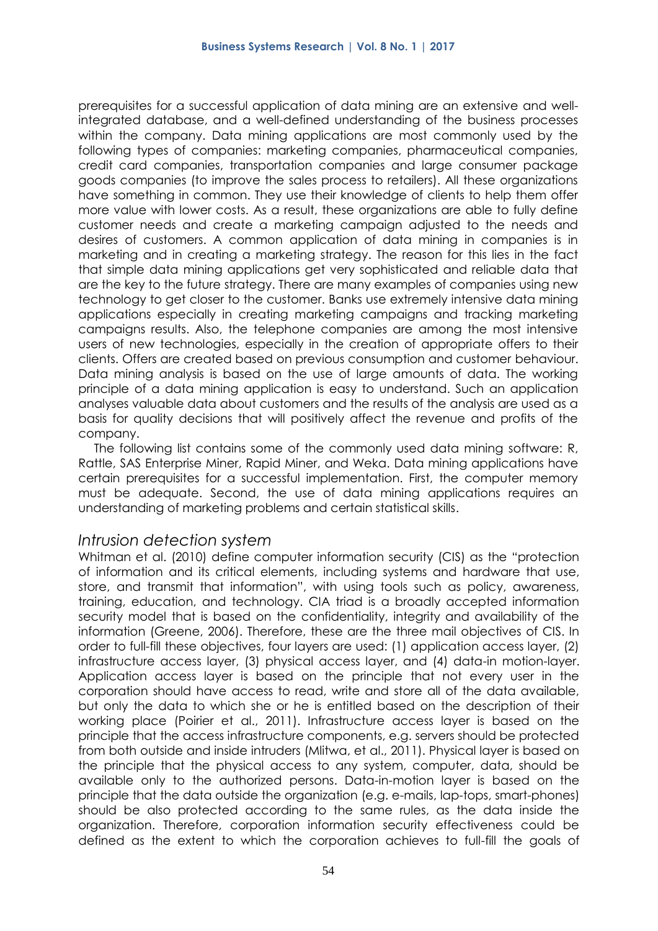prerequisites for a successful application of data mining are an extensive and wellintegrated database, and a well-defined understanding of the business processes within the company. Data mining applications are most commonly used by the following types of companies: marketing companies, pharmaceutical companies, credit card companies, transportation companies and large consumer package goods companies (to improve the sales process to retailers). All these organizations have something in common. They use their knowledge of clients to help them offer more value with lower costs. As a result, these organizations are able to fully define customer needs and create a marketing campaign adjusted to the needs and desires of customers. A common application of data mining in companies is in marketing and in creating a marketing strategy. The reason for this lies in the fact that simple data mining applications get very sophisticated and reliable data that are the key to the future strategy. There are many examples of companies using new technology to get closer to the customer. Banks use extremely intensive data mining applications especially in creating marketing campaigns and tracking marketing campaigns results. Also, the telephone companies are among the most intensive users of new technologies, especially in the creation of appropriate offers to their clients. Offers are created based on previous consumption and customer behaviour. Data mining analysis is based on the use of large amounts of data. The working principle of a data mining application is easy to understand. Such an application analyses valuable data about customers and the results of the analysis are used as a basis for quality decisions that will positively affect the revenue and profits of the company.

The following list contains some of the commonly used data mining software: R, Rattle, SAS Enterprise Miner, Rapid Miner, and Weka. Data mining applications have certain prerequisites for a successful implementation. First, the computer memory must be adequate. Second, the use of data mining applications requires an understanding of marketing problems and certain statistical skills.

#### *Intrusion detection system*

Whitman et al. (2010) define computer information security (CIS) as the "protection of information and its critical elements, including systems and hardware that use, store, and transmit that information", with using tools such as policy, awareness, training, education, and technology. CIA triad is a broadly accepted information security model that is based on the confidentiality, integrity and availability of the information (Greene, 2006). Therefore, these are the three mail objectives of CIS. In order to full-fill these objectives, four layers are used: (1) application access layer, (2) infrastructure access layer, (3) physical access layer, and (4) data-in motion-layer. Application access layer is based on the principle that not every user in the corporation should have access to read, write and store all of the data available, but only the data to which she or he is entitled based on the description of their working place (Poirier et al., 2011). Infrastructure access layer is based on the principle that the access infrastructure components, e.g. servers should be protected from both outside and inside intruders (Mlitwa, et al., 2011). Physical layer is based on the principle that the physical access to any system, computer, data, should be available only to the authorized persons. Data-in-motion layer is based on the principle that the data outside the organization (e.g. e-mails, lap-tops, smart-phones) should be also protected according to the same rules, as the data inside the organization. Therefore, corporation information security effectiveness could be defined as the extent to which the corporation achieves to full-fill the goals of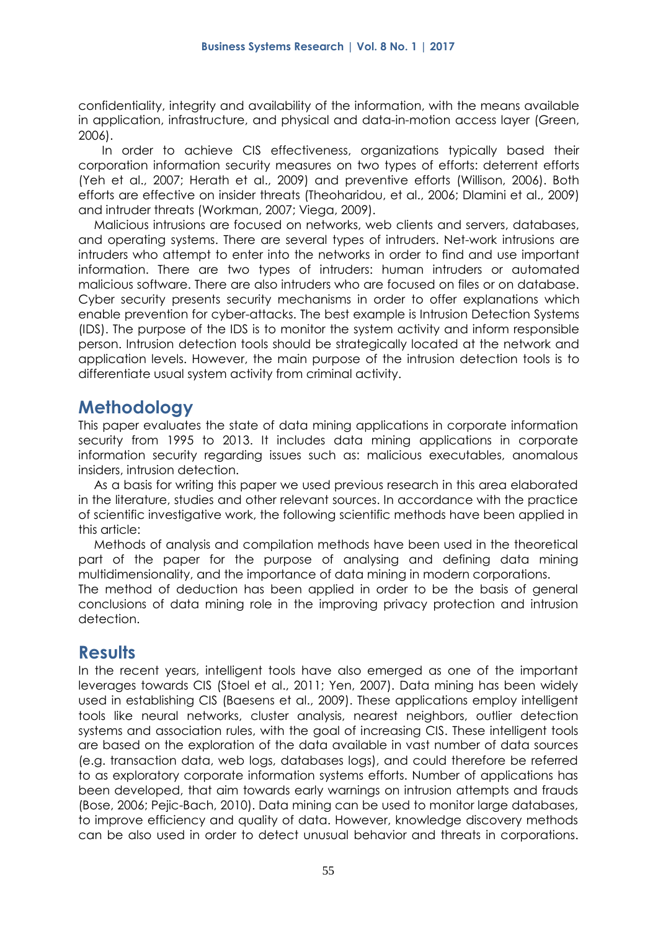confidentiality, integrity and availability of the information, with the means available in application, infrastructure, and physical and data-in-motion access layer (Green, 2006).

In order to achieve CIS effectiveness, organizations typically based their corporation information security measures on two types of efforts: deterrent efforts (Yeh et al., 2007; Herath et al., 2009) and preventive efforts (Willison, 2006). Both efforts are effective on insider threats (Theoharidou, et al., 2006; Dlamini et al., 2009) and intruder threats (Workman, 2007; Viega, 2009).

Malicious intrusions are focused on networks, web clients and servers, databases, and operating systems. There are several types of intruders. Net-work intrusions are intruders who attempt to enter into the networks in order to find and use important information. There are two types of intruders: human intruders or automated malicious software. There are also intruders who are focused on files or on database. Cyber security presents security mechanisms in order to offer explanations which enable prevention for cyber-attacks. The best example is Intrusion Detection Systems (IDS). The purpose of the IDS is to monitor the system activity and inform responsible person. Intrusion detection tools should be strategically located at the network and application levels. However, the main purpose of the intrusion detection tools is to differentiate usual system activity from criminal activity.

### **Methodology**

This paper evaluates the state of data mining applications in corporate information security from 1995 to 2013. It includes data mining applications in corporate information security regarding issues such as: malicious executables, anomalous insiders, intrusion detection.

As a basis for writing this paper we used previous research in this area elaborated in the literature, studies and other relevant sources. In accordance with the practice of scientific investigative work, the following scientific methods have been applied in this article:

Methods of analysis and compilation methods have been used in the theoretical part of the paper for the purpose of analysing and defining data mining multidimensionality, and the importance of data mining in modern corporations.

The method of deduction has been applied in order to be the basis of general conclusions of data mining role in the improving privacy protection and intrusion detection.

# **Results**

In the recent years, intelligent tools have also emerged as one of the important leverages towards CIS (Stoel et al., 2011; Yen, 2007). Data mining has been widely used in establishing CIS (Baesens et al., 2009). These applications employ intelligent tools like neural networks, cluster analysis, nearest neighbors, outlier detection systems and association rules, with the goal of increasing CIS. These intelligent tools are based on the exploration of the data available in vast number of data sources (e.g. transaction data, web logs, databases logs), and could therefore be referred to as exploratory corporate information systems efforts. Number of applications has been developed, that aim towards early warnings on intrusion attempts and frauds (Bose, 2006; Pejic-Bach, 2010). Data mining can be used to monitor large databases, to improve efficiency and quality of data. However, knowledge discovery methods can be also used in order to detect unusual behavior and threats in corporations.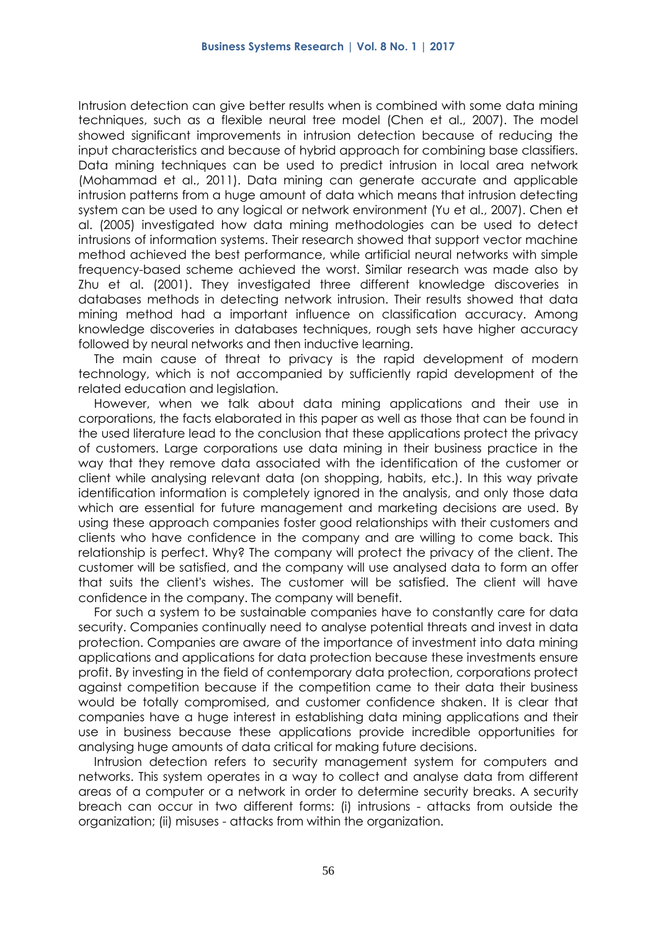Intrusion detection can give better results when is combined with some data mining techniques, such as a flexible neural tree model (Chen et al., 2007). The model showed significant improvements in intrusion detection because of reducing the input characteristics and because of hybrid approach for combining base classifiers. Data mining techniques can be used to predict intrusion in local area network (Mohammad et al., 2011). Data mining can generate accurate and applicable intrusion patterns from a huge amount of data which means that intrusion detecting system can be used to any logical or network environment (Yu et al., 2007). Chen et al. (2005) investigated how data mining methodologies can be used to detect intrusions of information systems. Their research showed that support vector machine method achieved the best performance, while artificial neural networks with simple frequency-based scheme achieved the worst. Similar research was made also by Zhu et al. (2001). They investigated three different knowledge discoveries in databases methods in detecting network intrusion. Their results showed that data mining method had a important influence on classification accuracy. Among knowledge discoveries in databases techniques, rough sets have higher accuracy followed by neural networks and then inductive learning.

The main cause of threat to privacy is the rapid development of modern technology, which is not accompanied by sufficiently rapid development of the related education and legislation.

However, when we talk about data mining applications and their use in corporations, the facts elaborated in this paper as well as those that can be found in the used literature lead to the conclusion that these applications protect the privacy of customers. Large corporations use data mining in their business practice in the way that they remove data associated with the identification of the customer or client while analysing relevant data (on shopping, habits, etc.). In this way private identification information is completely ignored in the analysis, and only those data which are essential for future management and marketing decisions are used. By using these approach companies foster good relationships with their customers and clients who have confidence in the company and are willing to come back. This relationship is perfect. Why? The company will protect the privacy of the client. The customer will be satisfied, and the company will use analysed data to form an offer that suits the client's wishes. The customer will be satisfied. The client will have confidence in the company. The company will benefit.

For such a system to be sustainable companies have to constantly care for data security. Companies continually need to analyse potential threats and invest in data protection. Companies are aware of the importance of investment into data mining applications and applications for data protection because these investments ensure profit. By investing in the field of contemporary data protection, corporations protect against competition because if the competition came to their data their business would be totally compromised, and customer confidence shaken. It is clear that companies have a huge interest in establishing data mining applications and their use in business because these applications provide incredible opportunities for analysing huge amounts of data critical for making future decisions.

Intrusion detection refers to security management system for computers and networks. This system operates in a way to collect and analyse data from different areas of a computer or a network in order to determine security breaks. A security breach can occur in two different forms: (i) intrusions - attacks from outside the organization; (ii) misuses - attacks from within the organization.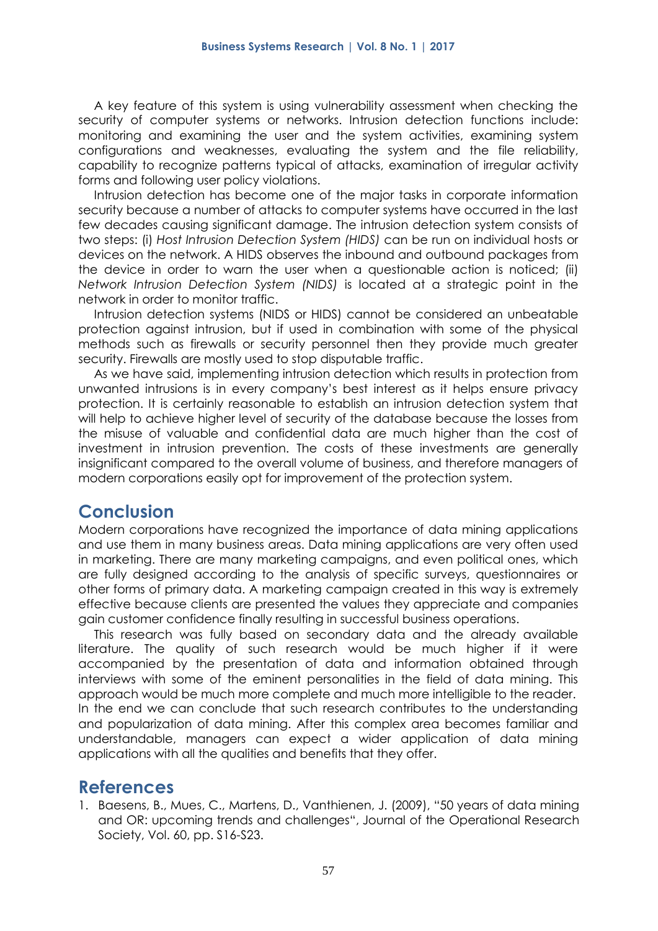A key feature of this system is using vulnerability assessment when checking the security of computer systems or networks. Intrusion detection functions include: monitoring and examining the user and the system activities, examining system configurations and weaknesses, evaluating the system and the file reliability, capability to recognize patterns typical of attacks, examination of irregular activity forms and following user policy violations.

Intrusion detection has become one of the major tasks in corporate information security because a number of attacks to computer systems have occurred in the last few decades causing significant damage. The intrusion detection system consists of two steps: (i) *Host Intrusion Detection System (HIDS)* can be run on individual hosts or devices on the network. A HIDS observes the inbound and outbound packages from the device in order to warn the user when a questionable action is noticed; (ii) *Network Intrusion Detection System (NIDS)* is located at a strategic point in the network in order to monitor traffic.

Intrusion detection systems (NIDS or HIDS) cannot be considered an unbeatable protection against intrusion, but if used in combination with some of the physical methods such as firewalls or security personnel then they provide much greater security. Firewalls are mostly used to stop disputable traffic.

As we have said, implementing intrusion detection which results in protection from unwanted intrusions is in every company's best interest as it helps ensure privacy protection. It is certainly reasonable to establish an intrusion detection system that will help to achieve higher level of security of the database because the losses from the misuse of valuable and confidential data are much higher than the cost of investment in intrusion prevention. The costs of these investments are generally insignificant compared to the overall volume of business, and therefore managers of modern corporations easily opt for improvement of the protection system.

# **Conclusion**

Modern corporations have recognized the importance of data mining applications and use them in many business areas. Data mining applications are very often used in marketing. There are many marketing campaigns, and even political ones, which are fully designed according to the analysis of specific surveys, questionnaires or other forms of primary data. A marketing campaign created in this way is extremely effective because clients are presented the values they appreciate and companies gain customer confidence finally resulting in successful business operations.

This research was fully based on secondary data and the already available literature. The quality of such research would be much higher if it were accompanied by the presentation of data and information obtained through interviews with some of the eminent personalities in the field of data mining. This approach would be much more complete and much more intelligible to the reader. In the end we can conclude that such research contributes to the understanding and popularization of data mining. After this complex area becomes familiar and understandable, managers can expect a wider application of data mining applications with all the qualities and benefits that they offer.

# **References**

1. Baesens, B., Mues, C., Martens, D., Vanthienen, J. (2009), "50 years of data mining and OR: upcoming trends and challenges", Journal of the Operational Research Society, Vol. 60, pp. S16-S23.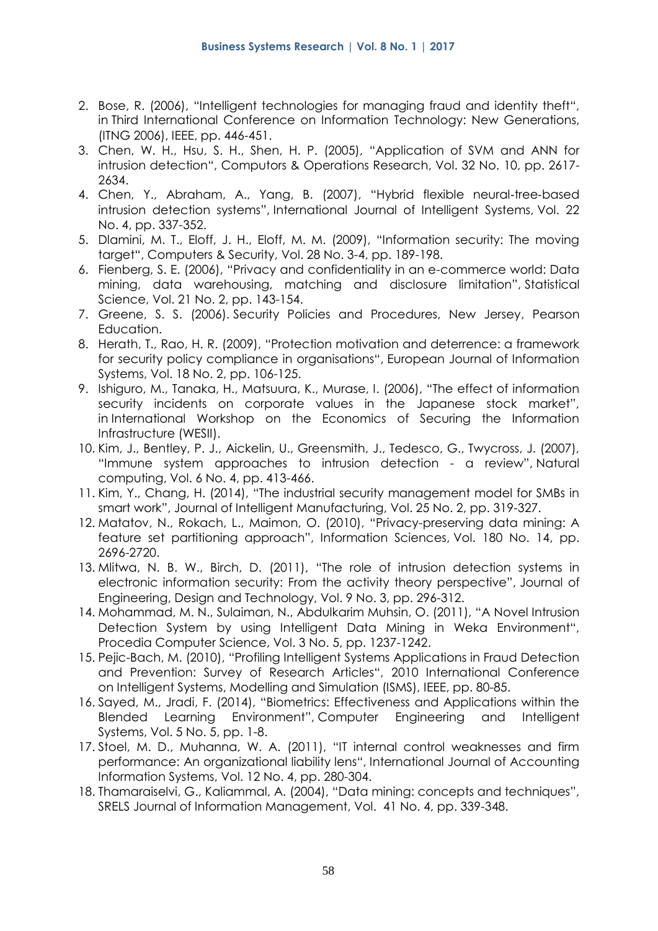- 2. Bose, R. (2006), "Intelligent technologies for managing fraud and identity theft", in Third International Conference on Information Technology: New Generations, (ITNG 2006), IEEE, pp. 446-451.
- 3. Chen, W. H., Hsu, S. H., Shen, H. P. (2005), "Application of SVM and ANN for intrusion detection", Computors & Operations Research, Vol. 32 No. 10, pp. 2617- 2634.
- 4. Chen, Y., Abraham, A., Yang, B. (2007), "Hybrid flexible neural‐tree‐based intrusion detection systems", International Journal of Intelligent Systems, Vol. 22 No. 4, pp. 337-352.
- 5. Dlamini, M. T., Eloff, J. H., Eloff, M. M. (2009), "Information security: The moving target", Computers & Security, Vol. 28 No. 3-4, pp. 189-198.
- 6. Fienberg, S. E. (2006), "Privacy and confidentiality in an e-commerce world: Data mining, data warehousing, matching and disclosure limitation", Statistical Science, Vol. 21 No. 2, pp. 143-154.
- 7. Greene, S. S. (2006). Security Policies and Procedures, New Jersey, Pearson Education.
- 8. Herath, T., Rao, H. R. (2009), "Protection motivation and deterrence: a framework for security policy compliance in organisations", European Journal of Information Systems, Vol. 18 No. 2, pp. 106-125.
- 9. Ishiguro, M., Tanaka, H., Matsuura, K., Murase, I. (2006), "The effect of information security incidents on corporate values in the Japanese stock market", in International Workshop on the Economics of Securing the Information Infrastructure (WESII).
- 10. Kim, J., Bentley, P. J., Aickelin, U., Greensmith, J., Tedesco, G., Twycross, J. (2007), "Immune system approaches to intrusion detection - a review", Natural computing, Vol. 6 No. 4, pp. 413-466.
- 11. Kim, Y., Chang, H. (2014), "The industrial security management model for SMBs in smart work", Journal of Intelligent Manufacturing, Vol. 25 No. 2, pp. 319-327.
- 12. Matatov, N., Rokach, L., Maimon, O. (2010), "Privacy-preserving data mining: A feature set partitioning approach", Information Sciences, Vol. 180 No. 14, pp. 2696-2720.
- 13. Mlitwa, N. B. W., Birch, D. (2011), "The role of intrusion detection systems in electronic information security: From the activity theory perspective", Journal of Engineering, Design and Technology, Vol. 9 No. 3, pp. 296-312.
- 14. Mohammad, M. N., Sulaiman, N., Abdulkarim Muhsin, O. (2011), "A Novel Intrusion Detection System by using Intelligent Data Mining in Weka Environment", Procedia Computer Science, Vol. 3 No. 5, pp. 1237-1242.
- 15. Pejic-Bach, M. (2010), "Profiling Intelligent Systems Applications in Fraud Detection and Prevention: Survey of Research Articles", 2010 International Conference on Intelligent Systems, Modelling and Simulation (ISMS), IEEE, pp. 80-85.
- 16. Sayed, M., Jradi, F. (2014), "Biometrics: Effectiveness and Applications within the Blended Learning Environment", Computer Engineering and Intelligent Systems, Vol. 5 No. 5, pp. 1-8.
- 17. Stoel, M. D., Muhanna, W. A. (2011), "IT internal control weaknesses and firm performance: An organizational liability lens", International Journal of Accounting Information Systems, Vol. 12 No. 4, pp. 280-304.
- 18. Thamaraiselvi, G., Kaliammal, A. (2004), "Data mining: concepts and techniques", SRELS Journal of Information Management, Vol. 41 No. 4, pp. 339-348.